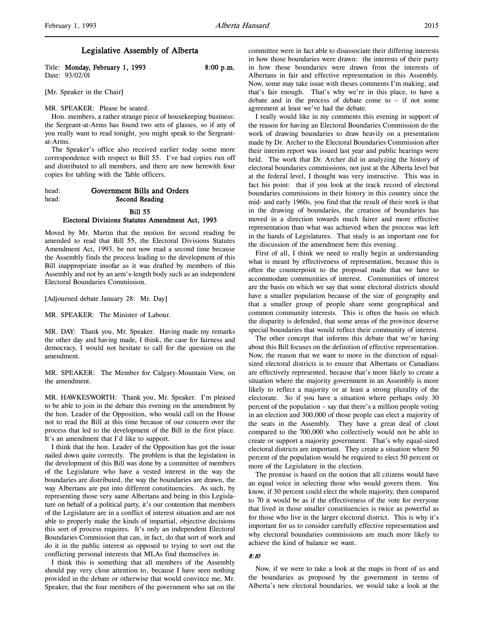## Legislative Assembly of Alberta

Title: Monday, February 1, 1993 8:00 p.m. Date: 93/02/01

[Mr. Speaker in the Chair]

MR. SPEAKER: Please be seated.

Hon. members, a rather strange piece of housekeeping business: the Sergeant-at-Arms has found two sets of glasses, so if any of you really want to read tonight, you might speak to the Sergeantat-Arms.

The Speaker's office also received earlier today some more correspondence with respect to Bill 55. I've had copies run off and distributed to all members, and there are now herewith four copies for tabling with the Table officers.

head: Government Bills and Orders head: Second Reading Bill 55

# Electoral Divisions Statutes Amendment Act, 1993

Moved by Mr. Martin that the motion for second reading be amended to read that Bill 55, the Electoral Divisions Statutes Amendment Act, 1993, be not now read a second time because the Assembly finds the process leading to the development of this Bill inappropriate insofar as it was drafted by members of this Assembly and not by an arm's-length body such as an independent Electoral Boundaries Commission.

[Adjourned debate January 28: Mr. Day]

MR. SPEAKER: The Minister of Labour.

MR. DAY: Thank you, Mr. Speaker. Having made my remarks the other day and having made, I think, the case for fairness and democracy, I would not hesitate to call for the question on the amendment.

MR. SPEAKER: The Member for Calgary-Mountain View, on the amendment.

MR. HAWKESWORTH: Thank you, Mr. Speaker. I'm pleased to be able to join in the debate this evening on the amendment by the hon. Leader of the Opposition, who would call on the House not to read the Bill at this time because of our concern over the process that led to the development of the Bill in the first place. It's an amendment that I'd like to support.

I think that the hon. Leader of the Opposition has got the issue nailed down quite correctly. The problem is that the legislation in the development of this Bill was done by a committee of members of the Legislature who have a vested interest in the way the boundaries are distributed, the way the boundaries are drawn, the way Albertans are put into different constituencies. As such, by representing those very same Albertans and being in this Legislature on behalf of a political party, it's our contention that members of the Legislature are in a conflict of interest situation and are not able to properly make the kinds of impartial, objective decisions this sort of process requires. It's only an independent Electoral Boundaries Commission that can, in fact, do that sort of work and do it in the public interest as opposed to trying to sort out the conflicting personal interests that MLAs find themselves in.

I think this is something that all members of the Assembly should pay very close attention to, because I have seen nothing provided in the debate or otherwise that would convince me, Mr. Speaker, that the four members of the government who sat on the committee were in fact able to disassociate their differing interests in how those boundaries were drawn: the interests of their party in how those boundaries were drawn from the interests of Albertans in fair and effective representation in this Assembly. Now, some may take issue with theses comments I'm making, and that's fair enough. That's why we're in this place, to have a debate and in the process of debate come to – if not some agreement at least we've had the debate.

I really would like in my comments this evening in support of the reason for having an Electoral Boundaries Commission do the work of drawing boundaries to draw heavily on a presentation made by Dr. Archer to the Electoral Boundaries Commission after their interim report was issued last year and public hearings were held. The work that Dr. Archer did in analyzing the history of electoral boundaries commissions, not just at the Alberta level but at the federal level, I thought was very instructive. This was in fact his point: that if you look at the track record of electoral boundaries commissions in their history in this country since the mid- and early 1960s, you find that the result of their work is that in the drawing of boundaries, the creation of boundaries has moved in a direction towards much fairer and more effective representation than what was achieved when the process was left in the hands of Legislatures. That study is an important one for the discussion of the amendment here this evening.

First of all, I think we need to really begin at understanding what is meant by effectiveness of representation, because this is often the counterpoint to the proposal made that we have to accommodate communities of interest. Communities of interest are the basis on which we say that some electoral districts should have a smaller population because of the size of geography and that a smaller group of people share some geographical and common community interests. This is often the basis on which the disparity is defended, that some areas of the province deserve special boundaries that would reflect their community of interest.

The other concept that informs this debate that we're having about this Bill focuses on the definition of effective representation. Now, the reason that we want to move in the direction of equalsized electoral districts is to ensure that Albertans or Canadians are effectively represented, because that's more likely to create a situation where the majority government in an Assembly is more likely to reflect a majority or at least a strong plurality of the electorate. So if you have a situation where perhaps only 30 percent of the population – say that there's a million people voting in an election and 300,000 of those people can elect a majority of the seats in the Assembly. They have a great deal of clout compared to the 700,000 who collectively would not be able to create or support a majority government. That's why equal-sized electoral districts are important. They create a situation where 50 percent of the population would be required to elect 50 percent or more of the Legislature in the election.

The premise is based on the notion that all citizens would have an equal voice in selecting those who would govern them. You know, if 30 percent could elect the whole majority, then compared to 70 it would be as if the effectiveness of the vote for everyone that lived in those smaller constituencies is twice as powerful as for those who live in the larger electoral district. This is why it's important for us to consider carefully effective representation and why electoral boundaries commissions are much more likely to achieve the kind of balance we want.

### 8:10

Now, if we were to take a look at the maps in front of us and the boundaries as proposed by the government in terms of Alberta's new electoral boundaries, we would take a look at the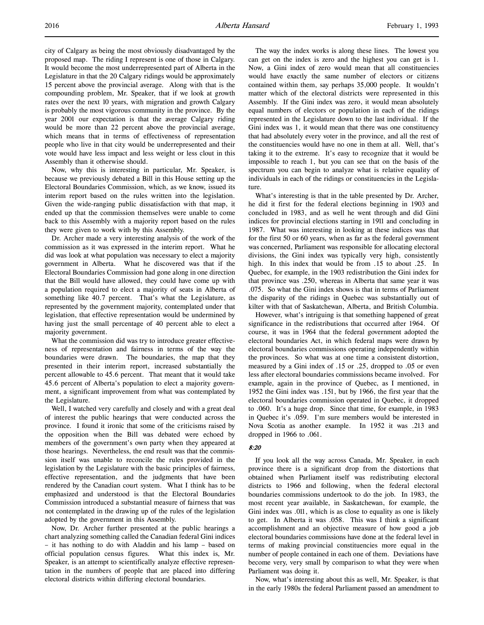city of Calgary as being the most obviously disadvantaged by the proposed map. The riding I represent is one of those in Calgary. It would become the most underrepresented part of Alberta in the Legislature in that the 20 Calgary ridings would be approximately 15 percent above the provincial average. Along with that is the compounding problem, Mr. Speaker, that if we look at growth rates over the next 10 years, with migration and growth Calgary is probably the most vigorous community in the province. By the year 2001 our expectation is that the average Calgary riding would be more than 22 percent above the provincial average, which means that in terms of effectiveness of representation people who live in that city would be underrepresented and their vote would have less impact and less weight or less clout in this Assembly than it otherwise should.

Now, why this is interesting in particular, Mr. Speaker, is because we previously debated a Bill in this House setting up the Electoral Boundaries Commission, which, as we know, issued its interim report based on the rules written into the legislation. Given the wide-ranging public dissatisfaction with that map, it ended up that the commission themselves were unable to come back to this Assembly with a majority report based on the rules they were given to work with by this Assembly.

Dr. Archer made a very interesting analysis of the work of the commission as it was expressed in the interim report. What he did was look at what population was necessary to elect a majority government in Alberta. What he discovered was that if the Electoral Boundaries Commission had gone along in one direction that the Bill would have allowed, they could have come up with a population required to elect a majority of seats in Alberta of something like 40.7 percent. That's what the Legislature, as represented by the government majority, contemplated under that legislation, that effective representation would be undermined by having just the small percentage of 40 percent able to elect a majority government.

What the commission did was try to introduce greater effectiveness of representation and fairness in terms of the way the boundaries were drawn. The boundaries, the map that they presented in their interim report, increased substantially the percent allowable to 45.6 percent. That meant that it would take 45.6 percent of Alberta's population to elect a majority government, a significant improvement from what was contemplated by the Legislature.

Well, I watched very carefully and closely and with a great deal of interest the public hearings that were conducted across the province. I found it ironic that some of the criticisms raised by the opposition when the Bill was debated were echoed by members of the government's own party when they appeared at those hearings. Nevertheless, the end result was that the commission itself was unable to reconcile the rules provided in the legislation by the Legislature with the basic principles of fairness, effective representation, and the judgments that have been rendered by the Canadian court system. What I think has to be emphasized and understood is that the Electoral Boundaries Commission introduced a substantial measure of fairness that was not contemplated in the drawing up of the rules of the legislation adopted by the government in this Assembly.

Now, Dr. Archer further presented at the public hearings a chart analyzing something called the Canadian federal Gini indices – it has nothing to do with Aladdin and his lamp – based on official population census figures. What this index is, Mr. Speaker, is an attempt to scientifically analyze effective representation in the numbers of people that are placed into differing electoral districts within differing electoral boundaries.

The way the index works is along these lines. The lowest you can get on the index is zero and the highest you can get is 1. Now, a Gini index of zero would mean that all constituencies would have exactly the same number of electors or citizens contained within them, say perhaps 35,000 people. It wouldn't matter which of the electoral districts were represented in this Assembly. If the Gini index was zero, it would mean absolutely equal numbers of electors or population in each of the ridings represented in the Legislature down to the last individual. If the Gini index was 1, it would mean that there was one constituency that had absolutely every voter in the province, and all the rest of the constituencies would have no one in them at all. Well, that's taking it to the extreme. It's easy to recognize that it would be impossible to reach 1, but you can see that on the basis of the spectrum you can begin to analyze what is relative equality of individuals in each of the ridings or constituencies in the Legislature.

What's interesting is that in the table presented by Dr. Archer, he did it first for the federal elections beginning in 1903 and concluded in 1983, and as well he went through and did Gini indices for provincial elections starting in 1911 and concluding in 1987. What was interesting in looking at these indices was that for the first 50 or 60 years, when as far as the federal government was concerned, Parliament was responsible for allocating electoral divisions, the Gini index was typically very high, consistently high. In this index that would be from .15 to about .25. In Quebec, for example, in the 1903 redistribution the Gini index for that province was .250, whereas in Alberta that same year it was .075. So what the Gini index shows is that in terms of Parliament the disparity of the ridings in Quebec was substantially out of kilter with that of Saskatchewan, Alberta, and British Columbia.

However, what's intriguing is that something happened of great significance in the redistributions that occurred after 1964. Of course, it was in 1964 that the federal government adopted the electoral boundaries Act, in which federal maps were drawn by electoral boundaries commissions operating independently within the provinces. So what was at one time a consistent distortion, measured by a Gini index of .15 or .25, dropped to .05 or even less after electoral boundaries commissions became involved. For example, again in the province of Quebec, as I mentioned, in 1952 the Gini index was .151, but by 1966, the first year that the electoral boundaries commission operated in Quebec, it dropped to .060. It's a huge drop. Since that time, for example, in 1983 in Quebec it's .059. I'm sure members would be interested in Nova Scotia as another example. In 1952 it was .213 and dropped in 1966 to .061.

### 8:20

If you look all the way across Canada, Mr. Speaker, in each province there is a significant drop from the distortions that obtained when Parliament itself was redistributing electoral districts to 1966 and following, when the federal electoral boundaries commissions undertook to do the job. In 1983, the most recent year available, in Saskatchewan, for example, the Gini index was .011, which is as close to equality as one is likely to get. In Alberta it was .058. This was I think a significant accomplishment and an objective measure of how good a job electoral boundaries commissions have done at the federal level in terms of making provincial constituencies more equal in the number of people contained in each one of them. Deviations have become very, very small by comparison to what they were when Parliament was doing it.

Now, what's interesting about this as well, Mr. Speaker, is that in the early 1980s the federal Parliament passed an amendment to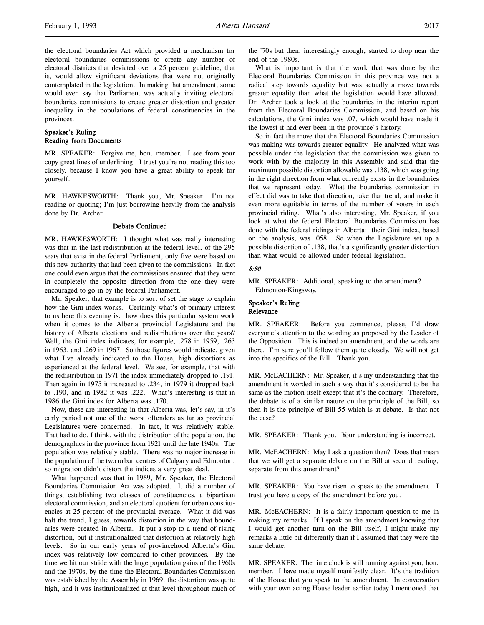the electoral boundaries Act which provided a mechanism for electoral boundaries commissions to create any number of electoral districts that deviated over a 25 percent guideline; that is, would allow significant deviations that were not originally contemplated in the legislation. In making that amendment, some would even say that Parliament was actually inviting electoral boundaries commissions to create greater distortion and greater inequality in the populations of federal constituencies in the provinces.

## Speaker's Ruling Reading from Documents

MR. SPEAKER: Forgive me, hon. member. I see from your copy great lines of underlining. I trust you're not reading this too closely, because I know you have a great ability to speak for yourself.

MR. HAWKESWORTH: Thank you, Mr. Speaker. I'm not reading or quoting; I'm just borrowing heavily from the analysis done by Dr. Archer.

### Debate Continued

MR. HAWKESWORTH: I thought what was really interesting was that in the last redistribution at the federal level, of the 295 seats that exist in the federal Parliament, only five were based on this new authority that had been given to the commissions. In fact one could even argue that the commissions ensured that they went in completely the opposite direction from the one they were encouraged to go in by the federal Parliament.

Mr. Speaker, that example is to sort of set the stage to explain how the Gini index works. Certainly what's of primary interest to us here this evening is: how does this particular system work when it comes to the Alberta provincial Legislature and the history of Alberta elections and redistributions over the years? Well, the Gini index indicates, for example, .278 in 1959, .263 in 1963, and .269 in 1967. So those figures would indicate, given what I've already indicated to the House, high distortions as experienced at the federal level. We see, for example, that with the redistribution in 1971 the index immediately dropped to .191. Then again in 1975 it increased to .234, in 1979 it dropped back to .190, and in 1982 it was .222. What's interesting is that in 1986 the Gini index for Alberta was .170.

Now, these are interesting in that Alberta was, let's say, in it's early period not one of the worst offenders as far as provincial Legislatures were concerned. In fact, it was relatively stable. That had to do, I think, with the distribution of the population, the demographics in the province from 1921 until the late 1940s. The population was relatively stable. There was no major increase in the population of the two urban centres of Calgary and Edmonton, so migration didn't distort the indices a very great deal.

What happened was that in 1969, Mr. Speaker, the Electoral Boundaries Commission Act was adopted. It did a number of things, establishing two classes of constituencies, a bipartisan electoral commission, and an electoral quotient for urban constituencies at 25 percent of the provincial average. What it did was halt the trend, I guess, towards distortion in the way that boundaries were created in Alberta. It put a stop to a trend of rising distortion, but it institutionalized that distortion at relatively high levels. So in our early years of provincehood Alberta's Gini index was relatively low compared to other provinces. By the time we hit our stride with the huge population gains of the 1960s and the 1970s, by the time the Electoral Boundaries Commission was established by the Assembly in 1969, the distortion was quite high, and it was institutionalized at that level throughout much of the '70s but then, interestingly enough, started to drop near the end of the 1980s.

What is important is that the work that was done by the Electoral Boundaries Commission in this province was not a radical step towards equality but was actually a move towards greater equality than what the legislation would have allowed. Dr. Archer took a look at the boundaries in the interim report from the Electoral Boundaries Commission, and based on his calculations, the Gini index was .07, which would have made it the lowest it had ever been in the province's history.

So in fact the move that the Electoral Boundaries Commission was making was towards greater equality. He analyzed what was possible under the legislation that the commission was given to work with by the majority in this Assembly and said that the maximum possible distortion allowable was .138, which was going in the right direction from what currently exists in the boundaries that we represent today. What the boundaries commission in effect did was to take that direction, take that trend, and make it even more equitable in terms of the number of voters in each provincial riding. What's also interesting, Mr. Speaker, if you look at what the federal Electoral Boundaries Commission has done with the federal ridings in Alberta: their Gini index, based on the analysis, was .058. So when the Legislature set up a possible distortion of .138, that's a significantly greater distortion than what would be allowed under federal legislation.

## 8:30

MR. SPEAKER: Additional, speaking to the amendment? Edmonton-Kingsway.

## Speaker's Ruling Relevance

MR. SPEAKER: Before you commence, please, I'd draw everyone's attention to the wording as proposed by the Leader of the Opposition. This is indeed an amendment, and the words are there. I'm sure you'll follow them quite closely. We will not get into the specifics of the Bill. Thank you.

MR. McEACHERN: Mr. Speaker, it's my understanding that the amendment is worded in such a way that it's considered to be the same as the motion itself except that it's the contrary. Therefore, the debate is of a similar nature on the principle of the Bill, so then it is the principle of Bill 55 which is at debate. Is that not the case?

MR. SPEAKER: Thank you. Your understanding is incorrect.

MR. McEACHERN: May I ask a question then? Does that mean that we will get a separate debate on the Bill at second reading, separate from this amendment?

MR. SPEAKER: You have risen to speak to the amendment. I trust you have a copy of the amendment before you.

MR. McEACHERN: It is a fairly important question to me in making my remarks. If I speak on the amendment knowing that I would get another turn on the Bill itself, I might make my remarks a little bit differently than if I assumed that they were the same debate.

MR. SPEAKER: The time clock is still running against you, hon. member. I have made myself manifestly clear. It's the tradition of the House that you speak to the amendment. In conversation with your own acting House leader earlier today I mentioned that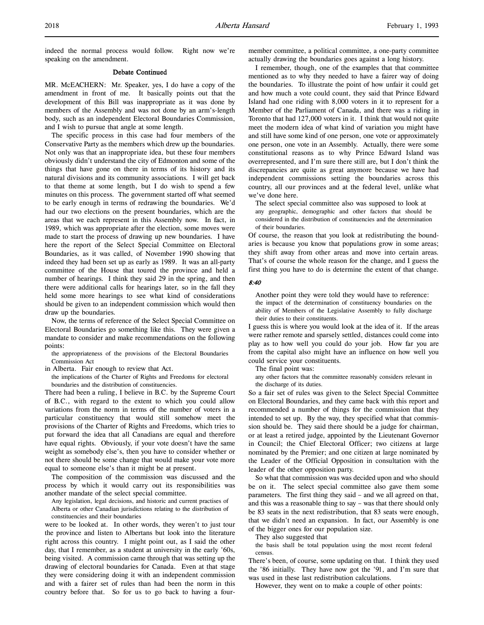indeed the normal process would follow. Right now we're speaking on the amendment.

### Debate Continued

MR. McEACHERN: Mr. Speaker, yes, I do have a copy of the amendment in front of me. It basically points out that the development of this Bill was inappropriate as it was done by members of the Assembly and was not done by an arm's-length body, such as an independent Electoral Boundaries Commission, and I wish to pursue that angle at some length.

The specific process in this case had four members of the Conservative Party as the members which drew up the boundaries. Not only was that an inappropriate idea, but these four members obviously didn't understand the city of Edmonton and some of the things that have gone on there in terms of its history and its natural divisions and its community associations. I will get back to that theme at some length, but I do wish to spend a few minutes on this process. The government started off what seemed to be early enough in terms of redrawing the boundaries. We'd had our two elections on the present boundaries, which are the areas that we each represent in this Assembly now. In fact, in 1989, which was appropriate after the election, some moves were made to start the process of drawing up new boundaries. I have here the report of the Select Special Committee on Electoral Boundaries, as it was called, of November 1990 showing that indeed they had been set up as early as 1989. It was an all-party committee of the House that toured the province and held a number of hearings. I think they said 29 in the spring, and then there were additional calls for hearings later, so in the fall they held some more hearings to see what kind of considerations should be given to an independent commission which would then draw up the boundaries.

Now, the terms of reference of the Select Special Committee on Electoral Boundaries go something like this. They were given a mandate to consider and make recommendations on the following points:

the appropriateness of the provisions of the Electoral Boundaries Commission Act

in Alberta. Fair enough to review that Act.

the implications of the Charter of Rights and Freedoms for electoral boundaries and the distribution of constituencies.

There had been a ruling, I believe in B.C. by the Supreme Court of B.C., with regard to the extent to which you could allow variations from the norm in terms of the number of voters in a particular constituency that would still somehow meet the provisions of the Charter of Rights and Freedoms, which tries to put forward the idea that all Canadians are equal and therefore have equal rights. Obviously, if your vote doesn't have the same weight as somebody else's, then you have to consider whether or not there should be some change that would make your vote more equal to someone else's than it might be at present.

The composition of the commission was discussed and the process by which it would carry out its responsibilities was another mandate of the select special committee.

Any legislation, legal decisions, and historic and current practises of Alberta or other Canadian jurisdictions relating to the distribution of constituencies and their boundaries

were to be looked at. In other words, they weren't to just tour the province and listen to Albertans but look into the literature right across this country. I might point out, as I said the other day, that I remember, as a student at university in the early '60s, being visited. A commission came through that was setting up the drawing of electoral boundaries for Canada. Even at that stage they were considering doing it with an independent commission and with a fairer set of rules than had been the norm in this country before that. So for us to go back to having a fourmember committee, a political committee, a one-party committee actually drawing the boundaries goes against a long history.

I remember, though, one of the examples that that committee mentioned as to why they needed to have a fairer way of doing the boundaries. To illustrate the point of how unfair it could get and how much a vote could count, they said that Prince Edward Island had one riding with 8,000 voters in it to represent for a Member of the Parliament of Canada, and there was a riding in Toronto that had 127,000 voters in it. I think that would not quite meet the modern idea of what kind of variation you might have and still have some kind of one person, one vote or approximately one person, one vote in an Assembly. Actually, there were some constitutional reasons as to why Prince Edward Island was overrepresented, and I'm sure there still are, but I don't think the discrepancies are quite as great anymore because we have had independent commissions setting the boundaries across this country, all our provinces and at the federal level, unlike what we've done here.

The select special committee also was supposed to look at any geographic, demographic and other factors that should be considered in the distribution of constituencies and the determination of their boundaries.

Of course, the reason that you look at redistributing the boundaries is because you know that populations grow in some areas; they shift away from other areas and move into certain areas. That's of course the whole reason for the change, and I guess the first thing you have to do is determine the extent of that change.

#### 8:40

Another point they were told they would have to reference: the impact of the determination of constituency boundaries on the ability of Members of the Legislative Assembly to fully discharge their duties to their constituents.

I guess this is where you would look at the idea of it. If the areas were rather remote and sparsely settled, distances could come into play as to how well you could do your job. How far you are from the capital also might have an influence on how well you could service your constituents.

The final point was:

any other factors that the committee reasonably considers relevant in the discharge of its duties.

So a fair set of rules was given to the Select Special Committee on Electoral Boundaries, and they came back with this report and recommended a number of things for the commission that they intended to set up. By the way, they specified what that commission should be. They said there should be a judge for chairman, or at least a retired judge, appointed by the Lieutenant Governor in Council; the Chief Electoral Officer; two citizens at large nominated by the Premier; and one citizen at large nominated by the Leader of the Official Opposition in consultation with the leader of the other opposition party.

So what that commission was was decided upon and who should be on it. The select special committee also gave them some parameters. The first thing they said – and we all agreed on that, and this was a reasonable thing to say – was that there should only be 83 seats in the next redistribution, that 83 seats were enough, that we didn't need an expansion. In fact, our Assembly is one of the bigger ones for our population size.

They also suggested that

the basis shall be total population using the most recent federal census.

There's been, of course, some updating on that. I think they used the '86 initially. They have now got the '91, and I'm sure that was used in these last redistribution calculations.

However, they went on to make a couple of other points: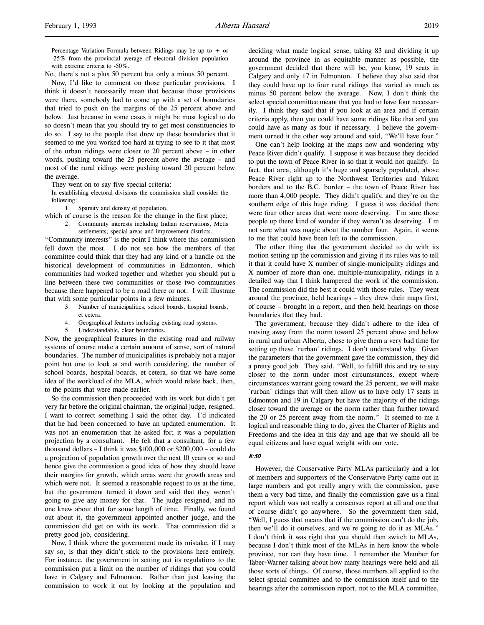l,

Percentage Variation Formula between Ridings may be up to  $+$  or -25% from the provincial average of electoral division population with extreme criteria to -50%.

No, there's not a plus 50 percent but only a minus 50 percent.

Now, I'd like to comment on those particular provisions. I think it doesn't necessarily mean that because those provisions were there, somebody had to come up with a set of boundaries that tried to push on the margins of the 25 percent above and below. Just because in some cases it might be most logical to do so doesn't mean that you should try to get most constituencies to do so. I say to the people that drew up these boundaries that it seemed to me you worked too hard at trying to see to it that most of the urban ridings were closer to 20 percent above – in other words, pushing toward the 25 percent above the average – and most of the rural ridings were pushing toward 20 percent below the average.

They went on to say five special criteria:

In establishing electoral divisions the commission shall consider the following:

1. Sparsity and density of population,

which of course is the reason for the change in the first place;

2. Community interests including Indian reservations, Metis

settlements, special areas and improvement districts. "Community interests" is the point I think where this commission fell down the most. I do not see how the members of that committee could think that they had any kind of a handle on the historical development of communities in Edmonton, which communities had worked together and whether you should put a line between these two communities or those two communities because there happened to be a road there or not. I will illustrate that with some particular points in a few minutes.

- 3. Number of municipalities, school boards, hospital boards, et cetera.
- 4. Geographical features including existing road systems.
- 5. Understandable, clear boundaries.

Now, the geographical features in the existing road and railway systems of course make a certain amount of sense, sort of natural boundaries. The number of municipalities is probably not a major point but one to look at and worth considering, the number of school boards, hospital boards, et cetera, so that we have some idea of the workload of the MLA, which would relate back, then, to the points that were made earlier.

So the commission then proceeded with its work but didn't get very far before the original chairman, the original judge, resigned. I want to correct something I said the other day. I'd indicated that he had been concerned to have an updated enumeration. It was not an enumeration that he asked for; it was a population projection by a consultant. He felt that a consultant, for a few thousand dollars – I think it was \$100,000 or \$200,000 – could do a projection of population growth over the next 10 years or so and hence give the commission a good idea of how they should leave their margins for growth, which areas were the growth areas and which were not. It seemed a reasonable request to us at the time, but the government turned it down and said that they weren't going to give any money for that. The judge resigned, and no one knew about that for some length of time. Finally, we found out about it, the government appointed another judge, and the commission did get on with its work. That commission did a pretty good job, considering.

Now, I think where the government made its mistake, if I may say so, is that they didn't stick to the provisions here entirely. For instance, the government in setting out its regulations to the commission put a limit on the number of ridings that you could have in Calgary and Edmonton. Rather than just leaving the commission to work it out by looking at the population and deciding what made logical sense, taking 83 and dividing it up around the province in as equitable manner as possible, the government decided that there will be, you know, 19 seats in Calgary and only 17 in Edmonton. I believe they also said that they could have up to four rural ridings that varied as much as minus 50 percent below the average. Now, I don't think the select special committee meant that you had to have four necessarily. I think they said that if you look at an area and if certain criteria apply, then you could have some ridings like that and you could have as many as four if necessary. I believe the government turned it the other way around and said, "We'll have four."

One can't help looking at the maps now and wondering why Peace River didn't qualify. I suppose it was because they decided to put the town of Peace River in so that it would not qualify. In fact, that area, although it's huge and sparsely populated, above Peace River right up to the Northwest Territories and Yukon borders and to the B.C. border – the town of Peace River has more than 4,000 people. They didn't qualify, and they're on the southern edge of this huge riding. I guess it was decided there were four other areas that were more deserving. I'm sure those people up there kind of wonder if they weren't as deserving. I'm not sure what was magic about the number four. Again, it seems to me that could have been left to the commission.

The other thing that the government decided to do with its motion setting up the commission and giving it its rules was to tell it that it could have X number of single-municipality ridings and X number of more than one, multiple-municipality, ridings in a detailed way that I think hampered the work of the commission. The commission did the best it could with those rules. They went around the province, held hearings – they drew their maps first, of course – brought in a report, and then held hearings on those boundaries that they had.

The government, because they didn't adhere to the idea of moving away from the norm toward 25 percent above and below in rural and urban Alberta, chose to give them a very bad time for setting up these `rurban' ridings. I don't understand why. Given the parameters that the government gave the commission, they did a pretty good job. They said, "Well, to fulfill this and try to stay closer to the norm under most circumstances, except where circumstances warrant going toward the 25 percent, we will make `rurban' ridings that will then allow us to have only 17 seats in Edmonton and 19 in Calgary but have the majority of the ridings closer toward the average or the norm rather than further toward the 20 or 25 percent away from the norm." It seemed to me a logical and reasonable thing to do, given the Charter of Rights and Freedoms and the idea in this day and age that we should all be equal citizens and have equal weight with our vote.

### 8:50

However, the Conservative Party MLAs particularly and a lot of members and supporters of the Conservative Party came out in large numbers and got really angry with the commission, gave them a very bad time, and finally the commission gave us a final report which was not really a consensus report at all and one that of course didn't go anywhere. So the government then said, "Well, I guess that means that if the commission can't do the job, then we'll do it ourselves, and we're going to do it as MLAs." I don't think it was right that you should then switch to MLAs, because I don't think most of the MLAs in here know the whole province, nor can they have time. I remember the Member for Taber-Warner talking about how many hearings were held and all those sorts of things. Of course, those numbers all applied to the select special committee and to the commission itself and to the hearings after the commission report, not to the MLA committee,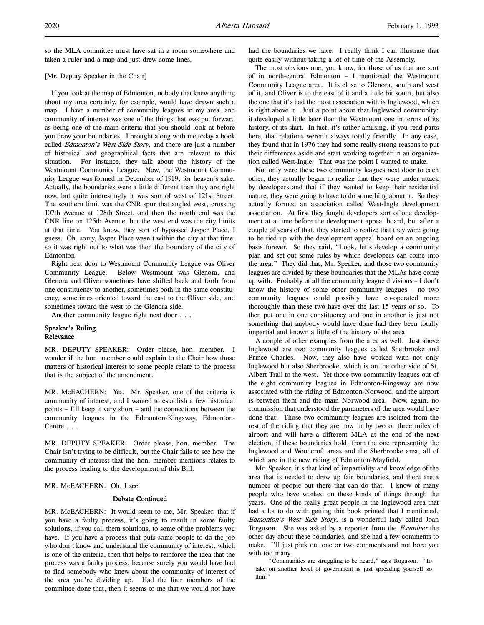so the MLA committee must have sat in a room somewhere and taken a ruler and a map and just drew some lines.

## [Mr. Deputy Speaker in the Chair]

If you look at the map of Edmonton, nobody that knew anything about my area certainly, for example, would have drawn such a map. I have a number of community leagues in my area, and community of interest was one of the things that was put forward as being one of the main criteria that you should look at before you draw your boundaries. I brought along with me today a book called Edmonton's West Side Story, and there are just a number of historical and geographical facts that are relevant to this situation. For instance, they talk about the history of the Westmount Community League. Now, the Westmount Community League was formed in December of 1919, for heaven's sake, Actually, the boundaries were a little different than they are right now, but quite interestingly it was sort of west of 121st Street. The southern limit was the CNR spur that angled west, crossing 107th Avenue at 128th Street, and then the north end was the CNR line on 125th Avenue, but the west end was the city limits at that time. You know, they sort of bypassed Jasper Place, I guess. Oh, sorry, Jasper Place wasn't within the city at that time, so it was right out to what was then the boundary of the city of Edmonton.

Right next door to Westmount Community League was Oliver Community League. Below Westmount was Glenora, and Glenora and Oliver sometimes have shifted back and forth from one constituency to another, sometimes both in the same constituency, sometimes oriented toward the east to the Oliver side, and sometimes toward the west to the Glenora side.

Another community league right next door . . .

## Speaker's Ruling Relevance

MR. DEPUTY SPEAKER: Order please, hon. member. I wonder if the hon. member could explain to the Chair how those matters of historical interest to some people relate to the process that is the subject of the amendment.

MR. McEACHERN: Yes. Mr. Speaker, one of the criteria is community of interest, and I wanted to establish a few historical points – I'll keep it very short – and the connections between the community leagues in the Edmonton-Kingsway, Edmonton-Centre . . .

MR. DEPUTY SPEAKER: Order please, hon. member. The Chair isn't trying to be difficult, but the Chair fails to see how the community of interest that the hon. member mentions relates to the process leading to the development of this Bill.

MR. McEACHERN: Oh, I see.

## Debate Continued

MR. McEACHERN: It would seem to me, Mr. Speaker, that if you have a faulty process, it's going to result in some faulty solutions, if you call them solutions, to some of the problems you have. If you have a process that puts some people to do the job who don't know and understand the community of interest, which is one of the criteria, then that helps to reinforce the idea that the process was a faulty process, because surely you would have had to find somebody who knew about the community of interest of the area you're dividing up. Had the four members of the committee done that, then it seems to me that we would not have

had the boundaries we have. I really think I can illustrate that quite easily without taking a lot of time of the Assembly.

The most obvious one, you know, for those of us that are sort of in north-central Edmonton – I mentioned the Westmount Community League area. It is close to Glenora, south and west of it, and Oliver is to the east of it and a little bit south, but also the one that it's had the most association with is Inglewood, which is right above it. Just a point about that Inglewood community: it developed a little later than the Westmount one in terms of its history, of its start. In fact, it's rather amusing, if you read parts here, that relations weren't always totally friendly. In any case, they found that in 1976 they had some really strong reasons to put their differences aside and start working together in an organization called West-Ingle. That was the point I wanted to make.

Not only were these two community leagues next door to each other, they actually began to realize that they were under attack by developers and that if they wanted to keep their residential nature, they were going to have to do something about it. So they actually formed an association called West-Ingle development association. At first they fought developers sort of one development at a time before the development appeal board, but after a couple of years of that, they started to realize that they were going to be tied up with the development appeal board on an ongoing basis forever. So they said, "Look, let's develop a community plan and set out some rules by which developers can come into the area." They did that, Mr. Speaker, and those two community leagues are divided by these boundaries that the MLAs have come up with. Probably of all the community league divisions – I don't know the history of some other community leagues – no two community leagues could possibly have co-operated more thoroughly than these two have over the last 15 years or so. To then put one in one constituency and one in another is just not something that anybody would have done had they been totally impartial and known a little of the history of the area.

A couple of other examples from the area as well. Just above Inglewood are two community leagues called Sherbrooke and Prince Charles. Now, they also have worked with not only Inglewood but also Sherbrooke, which is on the other side of St. Albert Trail to the west. Yet those two community leagues out of the eight community leagues in Edmonton-Kingsway are now associated with the riding of Edmonton-Norwood, and the airport is between them and the main Norwood area. Now, again, no commission that understood the parameters of the area would have done that. Those two community leagues are isolated from the rest of the riding that they are now in by two or three miles of airport and will have a different MLA at the end of the next election, if these boundaries hold, from the one representing the Inglewood and Woodcroft areas and the Sherbrooke area, all of which are in the new riding of Edmonton-Mayfield.

Mr. Speaker, it's that kind of impartiality and knowledge of the area that is needed to draw up fair boundaries, and there are a number of people out there that can do that. I know of many people who have worked on these kinds of things through the years. One of the really great people in the Inglewood area that had a lot to do with getting this book printed that I mentioned, Edmonton's West Side Story, is a wonderful lady called Joan Torguson. She was asked by a reporter from the Examiner the other day about these boundaries, and she had a few comments to make. I'll just pick out one or two comments and not bore you with too many.

"Communities are struggling to be heard," says Torguson. "To take on another level of government is just spreading yourself so thin."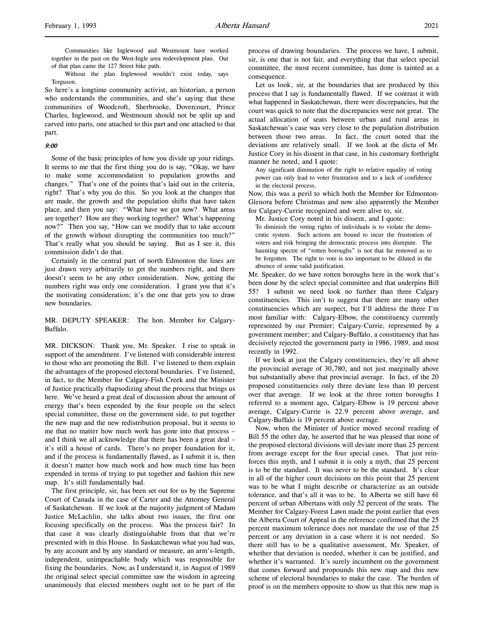Communities like Inglewood and Westmount have worked together in the past on the West-Ingle area redevelopment plan. Out of that plan came the 127 Street bike path.

Without the plan Inglewood wouldn't exist today, says Torguson.

So here's a longtime community activist, an historian, a person who understands the communities, and she's saying that these communities of Woodcroft, Sherbrooke, Dovercourt, Prince Charles, Inglewood, and Westmount should not be split up and carved into parts, one attached to this part and one attached to that part.

#### 9:00

Some of the basic principles of how you divide up your ridings. It seems to me that the first thing you do is say, "Okay, we have to make some accommodation to population growths and changes." That's one of the points that's laid out in the criteria, right? That's why you do this. So you look at the changes that are made, the growth and the population shifts that have taken place, and then you say: "What have we got now? What areas are together? How are they working together? What's happening now?" Then you say, "How can we modify that to take account of the growth without disrupting the communities too much?" That's really what you should be saying. But as I see it, this commission didn't do that.

Certainly in the central part of north Edmonton the lines are just drawn very arbitrarily to get the numbers right, and there doesn't seem to be any other consideration. Now, getting the numbers right was only one consideration. I grant you that it's the motivating consideration; it's the one that gets you to draw new boundaries.

MR. DEPUTY SPEAKER: The hon. Member for Calgary-Buffalo.

MR. DICKSON: Thank you, Mr. Speaker. I rise to speak in support of the amendment. I've listened with considerable interest to those who are promoting the Bill. I've listened to them explain the advantages of the proposed electoral boundaries. I've listened, in fact, to the Member for Calgary-Fish Creek and the Minister of Justice practically rhapsodizing about the process that brings us here. We've heard a great deal of discussion about the amount of energy that's been expended by the four people on the select special committee, those on the government side, to put together the new map and the new redistribution proposal, but it seems to me that no matter how much work has gone into that process – and I think we all acknowledge that there has been a great deal – it's still a house of cards. There's no proper foundation for it, and if the process is fundamentally flawed, as I submit it is, then it doesn't matter how much work and how much time has been expended in terms of trying to put together and fashion this new map. It's still fundamentally bad.

The first principle, sir, has been set out for us by the Supreme Court of Canada in the case of Carter and the Attorney General of Saskatchewan. If we look at the majority judgment of Madam Justice McLachlin, she talks about two issues, the first one focusing specifically on the process. Was the process fair? In that case it was clearly distinguishable from that that we're presented with in this House. In Saskatchewan what you had was, by any account and by any standard or measure, an arm's-length, independent, unimpeachable body which was responsible for fixing the boundaries. Now, as I understand it, in August of 1989 the original select special committee saw the wisdom in agreeing unanimously that elected members ought not to be part of the

process of drawing boundaries. The process we have, I submit, sir, is one that is not fair, and everything that that select special committee, the most recent committee, has done is tainted as a consequence.

Let us look, sir, at the boundaries that are produced by this process that I say is fundamentally flawed. If we contrast it with what happened in Saskatchewan, there were discrepancies, but the court was quick to note that the discrepancies were not great. The actual allocation of seats between urban and rural areas in Saskatchewan's case was very close to the population distribution between those two areas. In fact, the court noted that the deviations are relatively small. If we look at the dicta of Mr. Justice Cory in his dissent in that case, in his customary forthright manner he noted, and I quote:

Any significant diminution of the right to relative equality of voting power can only lead to voter frustration and to a lack of confidence in the electoral process.

Now, this was a peril to which both the Member for Edmonton-Glenora before Christmas and now also apparently the Member for Calgary-Currie recognized and were alive to, sir.

Mr. Justice Cory noted in his dissent, and I quote:

To diminish the voting rights of individuals is to violate the democratic system. Such actions are bound to incur the frustration of voters and risk bringing the democratic process into disrepute. The haunting spectre of "rotten boroughs" is not that far removed as to be forgotten. The right to vote is too important to be diluted in the absence of some valid justification.

Mr. Speaker, do we have rotten boroughs here in the work that's been done by the select special committee and that underpins Bill 55? I submit we need look no further than three Calgary constituencies. This isn't to suggest that there are many other constituencies which are suspect, but I'll address the three I'm most familiar with: Calgary-Elbow, the constituency currently represented by our Premier; Calgary-Currie, represented by a government member; and Calgary-Buffalo, a constituency that has decisively rejected the government party in 1986, 1989, and most recently in 1992.

If we look at just the Calgary constituencies, they're all above the provincial average of 30,780, and not just marginally above but substantially above that provincial average. In fact, of the 20 proposed constituencies only three deviate less than 10 percent over that average. If we look at the three rotten boroughs I referred to a moment ago, Calgary-Elbow is 19 percent above average, Calgary-Currie is 22.9 percent above average, and Calgary-Buffalo is 19 percent above average.

Now, when the Minister of Justice moved second reading of Bill 55 the other day, he asserted that he was pleased that none of the proposed electoral divisions will deviate more than 25 percent from average except for the four special cases. That just reinforces this myth, and I submit it is only a myth, that 25 percent is to be the standard. It was never to be the standard. It's clear in all of the higher court decisions on this point that 25 percent was to be what I might describe or characterize as an outside tolerance, and that's all it was to be. In Alberta we still have 61 percent of urban Albertans with only 52 percent of the seats. The Member for Calgary-Forest Lawn made the point earlier that even the Alberta Court of Appeal in the reference confirmed that the 25 percent maximum tolerance does not mandate the use of that 25 percent or any deviation in a case where it is not needed. So there still has to be a qualitative assessment, Mr. Speaker, of whether that deviation is needed, whether it can be justified, and whether it's warranted. It's surely incumbent on the government that comes forward and propounds this new map and this new scheme of electoral boundaries to make the case. The burden of proof is on the members opposite to show us that this new map is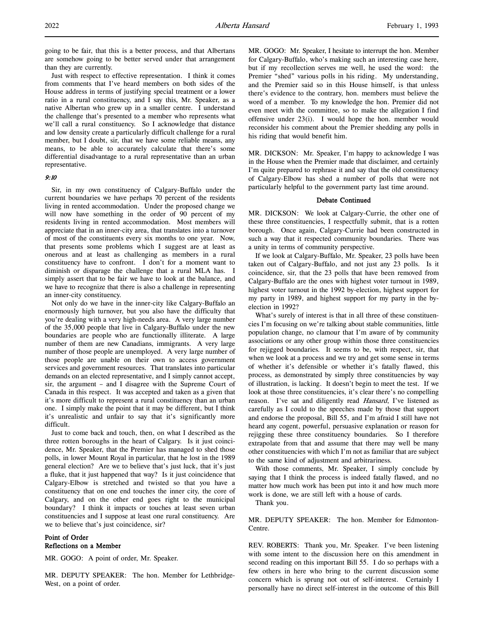Just with respect to effective representation. I think it comes from comments that I've heard members on both sides of the House address in terms of justifying special treatment or a lower ratio in a rural constituency, and I say this, Mr. Speaker, as a native Albertan who grew up in a smaller centre. I understand the challenge that's presented to a member who represents what we'll call a rural constituency. So I acknowledge that distance and low density create a particularly difficult challenge for a rural member, but I doubt, sir, that we have some reliable means, any means, to be able to accurately calculate that there's some differential disadvantage to a rural representative than an urban representative.

## 9:10

Sir, in my own constituency of Calgary-Buffalo under the current boundaries we have perhaps 70 percent of the residents living in rented accommodation. Under the proposed change we will now have something in the order of 90 percent of my residents living in rented accommodation. Most members will appreciate that in an inner-city area, that translates into a turnover of most of the constituents every six months to one year. Now, that presents some problems which I suggest are at least as onerous and at least as challenging as members in a rural constituency have to confront. I don't for a moment want to diminish or disparage the challenge that a rural MLA has. I simply assert that to be fair we have to look at the balance, and we have to recognize that there is also a challenge in representing an inner-city constituency.

Not only do we have in the inner-city like Calgary-Buffalo an enormously high turnover, but you also have the difficulty that you're dealing with a very high-needs area. A very large number of the 35,000 people that live in Calgary-Buffalo under the new boundaries are people who are functionally illiterate. A large number of them are new Canadians, immigrants. A very large number of those people are unemployed. A very large number of those people are unable on their own to access government services and government resources. That translates into particular demands on an elected representative, and I simply cannot accept, sir, the argument – and I disagree with the Supreme Court of Canada in this respect. It was accepted and taken as a given that it's more difficult to represent a rural constituency than an urban one. I simply make the point that it may be different, but I think it's unrealistic and unfair to say that it's significantly more difficult.

Just to come back and touch, then, on what I described as the three rotten boroughs in the heart of Calgary. Is it just coincidence, Mr. Speaker, that the Premier has managed to shed those polls, in lower Mount Royal in particular, that he lost in the 1989 general election? Are we to believe that's just luck, that it's just a fluke, that it just happened that way? Is it just coincidence that Calgary-Elbow is stretched and twisted so that you have a constituency that on one end touches the inner city, the core of Calgary, and on the other end goes right to the municipal boundary? I think it impacts or touches at least seven urban constituencies and I suppose at least one rural constituency. Are we to believe that's just coincidence, sir?

## Point of Order Reflections on a Member

MR. GOGO: A point of order, Mr. Speaker.

MR. DEPUTY SPEAKER: The hon. Member for Lethbridge-West, on a point of order.

MR. GOGO: Mr. Speaker, I hesitate to interrupt the hon. Member for Calgary-Buffalo, who's making such an interesting case here, but if my recollection serves me well, he used the word: the Premier "shed" various polls in his riding. My understanding, and the Premier said so in this House himself, is that unless there's evidence to the contrary, hon. members must believe the word of a member. To my knowledge the hon. Premier did not even meet with the committee, so to make the allegation I find offensive under 23(i). I would hope the hon. member would reconsider his comment about the Premier shedding any polls in his riding that would benefit him.

MR. DICKSON: Mr. Speaker, I'm happy to acknowledge I was in the House when the Premier made that disclaimer, and certainly I'm quite prepared to rephrase it and say that the old constituency of Calgary-Elbow has shed a number of polls that were not particularly helpful to the government party last time around.

### Debate Continued

MR. DICKSON: We look at Calgary-Currie, the other one of these three constituencies, I respectfully submit, that is a rotten borough. Once again, Calgary-Currie had been constructed in such a way that it respected community boundaries. There was a unity in terms of community perspective.

If we look at Calgary-Buffalo, Mr. Speaker, 23 polls have been taken out of Calgary-Buffalo, and not just any 23 polls. Is it coincidence, sir, that the 23 polls that have been removed from Calgary-Buffalo are the ones with highest voter turnout in 1989, highest voter turnout in the 1992 by-election, highest support for my party in 1989, and highest support for my party in the byelection in 1992?

What's surely of interest is that in all three of these constituencies I'm focusing on we're talking about stable communities, little population change, no clamour that I'm aware of by community associations or any other group within those three constituencies for rejigged boundaries. It seems to be, with respect, sir, that when we look at a process and we try and get some sense in terms of whether it's defensible or whether it's fatally flawed, this process, as demonstrated by simply three constituencies by way of illustration, is lacking. It doesn't begin to meet the test. If we look at those three constituencies, it's clear there's no compelling reason. I've sat and diligently read Hansard, I've listened as carefully as I could to the speeches made by those that support and endorse the proposal, Bill 55, and I'm afraid I still have not heard any cogent, powerful, persuasive explanation or reason for rejigging these three constituency boundaries. So I therefore extrapolate from that and assume that there may well be many other constituencies with which I'm not as familiar that are subject to the same kind of adjustment and arbitrariness.

With those comments, Mr. Speaker, I simply conclude by saying that I think the process is indeed fatally flawed, and no matter how much work has been put into it and how much more work is done, we are still left with a house of cards.

Thank you.

MR. DEPUTY SPEAKER: The hon. Member for Edmonton-Centre.

REV. ROBERTS: Thank you, Mr. Speaker. I've been listening with some intent to the discussion here on this amendment in second reading on this important Bill 55. I do so perhaps with a few others in here who bring to the current discussion some concern which is sprung not out of self-interest. Certainly I personally have no direct self-interest in the outcome of this Bill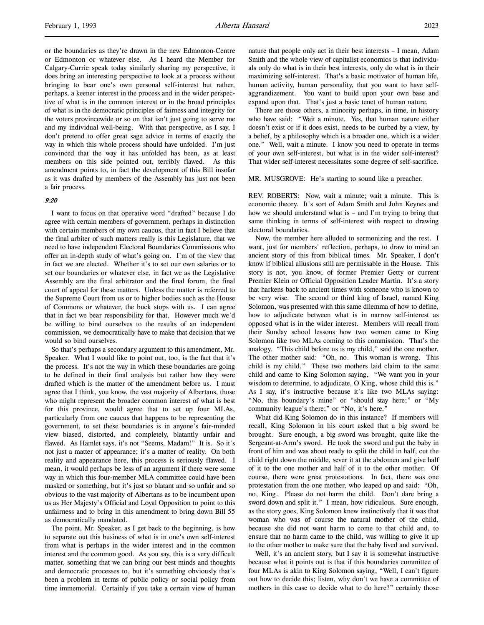or the boundaries as they're drawn in the new Edmonton-Centre or Edmonton or whatever else. As I heard the Member for Calgary-Currie speak today similarly sharing my perspective, it does bring an interesting perspective to look at a process without bringing to bear one's own personal self-interest but rather, perhaps, a keener interest in the process and in the wider perspective of what is in the common interest or in the broad principles of what is in the democratic principles of fairness and integrity for the voters provincewide or so on that isn't just going to serve me and my individual well-being. With that perspective, as I say, I don't pretend to offer great sage advice in terms of exactly the way in which this whole process should have unfolded. I'm just convinced that the way it has unfolded has been, as at least members on this side pointed out, terribly flawed. As this amendment points to, in fact the development of this Bill insofar as it was drafted by members of the Assembly has just not been a fair process.

## 9:20

I want to focus on that operative word "drafted" because I do agree with certain members of government, perhaps in distinction with certain members of my own caucus, that in fact I believe that the final arbiter of such matters really is this Legislature, that we need to have independent Electoral Boundaries Commissions who offer an in-depth study of what's going on. I'm of the view that in fact we are elected. Whether it's to set our own salaries or to set our boundaries or whatever else, in fact we as the Legislative Assembly are the final arbitrator and the final forum, the final court of appeal for these matters. Unless the matter is referred to the Supreme Court from us or to higher bodies such as the House of Commons or whatever, the buck stops with us. I can agree that in fact we bear responsibility for that. However much we'd be willing to bind ourselves to the results of an independent commission, we democratically have to make that decision that we would so bind ourselves.

So that's perhaps a secondary argument to this amendment, Mr. Speaker. What I would like to point out, too, is the fact that it's the process. It's not the way in which these boundaries are going to be defined in their final analysis but rather how they were drafted which is the matter of the amendment before us. I must agree that I think, you know, the vast majority of Albertans, those who might represent the broader common interest of what is best for this province, would agree that to set up four MLAs, particularly from one caucus that happens to be representing the government, to set these boundaries is in anyone's fair-minded view biased, distorted, and completely, blatantly unfair and flawed. As Hamlet says, it's not "Seems, Madam!" It is. So it's not just a matter of appearance; it's a matter of reality. On both reality and appearance here, this process is seriously flawed. I mean, it would perhaps be less of an argument if there were some way in which this four-member MLA committee could have been masked or something, but it's just so blatant and so unfair and so obvious to the vast majority of Albertans as to be incumbent upon us as Her Majesty's Official and Loyal Opposition to point to this unfairness and to bring in this amendment to bring down Bill 55 as democratically mandated.

The point, Mr. Speaker, as I get back to the beginning, is how to separate out this business of what is in one's own self-interest from what is perhaps in the wider interest and in the common interest and the common good. As you say, this is a very difficult matter, something that we can bring our best minds and thoughts and democratic processes to, but it's something obviously that's been a problem in terms of public policy or social policy from time immemorial. Certainly if you take a certain view of human nature that people only act in their best interests – I mean, Adam Smith and the whole view of capitalist economics is that individuals only do what is in their best interests, only do what is in their maximizing self-interest. That's a basic motivator of human life, human activity, human personality, that you want to have selfaggrandizement. You want to build upon your own base and expand upon that. That's just a basic tenet of human nature.

There are those others, a minority perhaps, in time, in history who have said: "Wait a minute. Yes, that human nature either doesn't exist or if it does exist, needs to be curbed by a view, by a belief, by a philosophy which is a broader one, which is a wider one." Well, wait a minute. I know you need to operate in terms of your own self-interest, but what is in the wider self-interest? That wider self-interest necessitates some degree of self-sacrifice.

#### MR. MUSGROVE: He's starting to sound like a preacher.

REV. ROBERTS: Now, wait a minute; wait a minute. This is economic theory. It's sort of Adam Smith and John Keynes and how we should understand what is – and I'm trying to bring that same thinking in terms of self-interest with respect to drawing electoral boundaries.

Now, the member here alluded to sermonizing and the rest. I want, just for members' reflection, perhaps, to draw to mind an ancient story of this from biblical times. Mr. Speaker, I don't know if biblical allusions still are permissable in the House. This story is not, you know, of former Premier Getty or current Premier Klein or Official Opposition Leader Martin. It's a story that harkens back to ancient times with someone who is known to be very wise. The second or third king of Israel, named King Solomon, was presented with this same dilemma of how to define, how to adjudicate between what is in narrow self-interest as opposed what is in the wider interest. Members will recall from their Sunday school lessons how two women came to King Solomon like two MLAs coming to this commission. That's the analogy. "This child before us is my child," said the one mother. The other mother said: "Oh, no. This woman is wrong. This child is my child." These two mothers laid claim to the same child and came to King Solomon saying, "We want you in your wisdom to determine, to adjudicate, O King, whose child this is." As I say, it's instructive because it's like two MLAs saying: "No, this boundary's mine" or "should stay here;" or "My community league's there;" or "No, it's here."

What did King Solomon do in this instance? If members will recall, King Solomon in his court asked that a big sword be brought. Sure enough, a big sword was brought, quite like the Sergeant-at-Arm's sword. He took the sword and put the baby in front of him and was about ready to split the child in half, cut the child right down the middle, sever it at the abdomen and give half of it to the one mother and half of it to the other mother. Of course, there were great protestations. In fact, there was one protestation from the one mother, who leaped up and said: "Oh, no, King. Please do not harm the child. Don't dare bring a sword down and split it." I mean, how ridiculous. Sure enough, as the story goes, King Solomon knew instinctively that it was that woman who was of course the natural mother of the child, because she did not want harm to come to that child and, to ensure that no harm came to the child, was willing to give it up to the other mother to make sure that the baby lived and survived.

Well, it's an ancient story, but I say it is somewhat instructive because what it points out is that if this boundaries committee of four MLAs is akin to King Solomon saying, "Well, I can't figure out how to decide this; listen, why don't we have a committee of mothers in this case to decide what to do here?" certainly those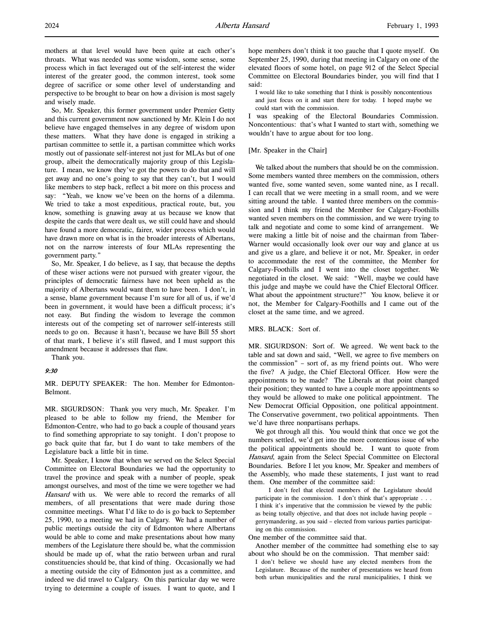mothers at that level would have been quite at each other's throats. What was needed was some wisdom, some sense, some process which in fact leveraged out of the self-interest the wider interest of the greater good, the common interest, took some degree of sacrifice or some other level of understanding and perspective to be brought to bear on how a division is most sagely and wisely made.

So, Mr. Speaker, this former government under Premier Getty and this current government now sanctioned by Mr. Klein I do not believe have engaged themselves in any degree of wisdom upon these matters. What they have done is engaged in striking a partisan committee to settle it, a partisan committee which works mostly out of passionate self-interest not just for MLAs but of one group, albeit the democratically majority group of this Legislature. I mean, we know they've got the powers to do that and will get away and no one's going to say that they can't, but I would like members to step back, reflect a bit more on this process and say: "Yeah, we know we've been on the horns of a dilemma. We tried to take a most expeditious, practical route, but, you know, something is gnawing away at us because we know that despite the cards that were dealt us, we still could have and should have found a more democratic, fairer, wider process which would have drawn more on what is in the broader interests of Albertans, not on the narrow interests of four MLAs representing the government party."

So, Mr. Speaker, I do believe, as I say, that because the depths of these wiser actions were not pursued with greater vigour, the principles of democratic fairness have not been upheld as the majority of Albertans would want them to have been. I don't, in a sense, blame government because I'm sure for all of us, if we'd been in government, it would have been a difficult process; it's not easy. But finding the wisdom to leverage the common interests out of the competing set of narrower self-interests still needs to go on. Because it hasn't, because we have Bill 55 short of that mark, I believe it's still flawed, and I must support this amendment because it addresses that flaw.

Thank you.

### 9:30

MR. DEPUTY SPEAKER: The hon. Member for Edmonton-Belmont.

MR. SIGURDSON: Thank you very much, Mr. Speaker. I'm pleased to be able to follow my friend, the Member for Edmonton-Centre, who had to go back a couple of thousand years to find something appropriate to say tonight. I don't propose to go back quite that far, but I do want to take members of the Legislature back a little bit in time.

Mr. Speaker, I know that when we served on the Select Special Committee on Electoral Boundaries we had the opportunity to travel the province and speak with a number of people, speak amongst ourselves, and most of the time we were together we had Hansard with us. We were able to record the remarks of all members, of all presentations that were made during those committee meetings. What I'd like to do is go back to September 25, 1990, to a meeting we had in Calgary. We had a number of public meetings outside the city of Edmonton where Albertans would be able to come and make presentations about how many members of the Legislature there should be, what the commission should be made up of, what the ratio between urban and rural constituencies should be, that kind of thing. Occasionally we had a meeting outside the city of Edmonton just as a committee, and indeed we did travel to Calgary. On this particular day we were trying to determine a couple of issues. I want to quote, and I

hope members don't think it too gauche that I quote myself. On September 25, 1990, during that meeting in Calgary on one of the elevated floors of some hotel, on page 912 of the Select Special Committee on Electoral Boundaries binder, you will find that I said:

I would like to take something that I think is possibly noncontentious and just focus on it and start there for today. I hoped maybe we could start with the commission.

I was speaking of the Electoral Boundaries Commission. Noncontentious: that's what I wanted to start with, something we wouldn't have to argue about for too long.

### [Mr. Speaker in the Chair]

We talked about the numbers that should be on the commission. Some members wanted three members on the commission, others wanted five, some wanted seven, some wanted nine, as I recall. I can recall that we were meeting in a small room, and we were sitting around the table. I wanted three members on the commission and I think my friend the Member for Calgary-Foothills wanted seven members on the commission, and we were trying to talk and negotiate and come to some kind of arrangement. We were making a little bit of noise and the chairman from Taber-Warner would occasionally look over our way and glance at us and give us a glare, and believe it or not, Mr. Speaker, in order to accommodate the rest of the committee, the Member for Calgary-Foothills and I went into the closet together. We negotiated in the closet. We said: "Well, maybe we could have this judge and maybe we could have the Chief Electoral Officer. What about the appointment structure?" You know, believe it or not, the Member for Calgary-Foothills and I came out of the closet at the same time, and we agreed.

#### MRS. BLACK: Sort of.

MR. SIGURDSON: Sort of. We agreed. We went back to the table and sat down and said, "Well, we agree to five members on the commission" – sort of, as my friend points out. Who were the five? A judge, the Chief Electoral Officer. How were the appointments to be made? The Liberals at that point changed their position; they wanted to have a couple more appointments so they would be allowed to make one political appointment. The New Democrat Official Opposition, one political appointment. The Conservative government, two political appointments. Then we'd have three nonpartisans perhaps.

We got through all this. You would think that once we got the numbers settled, we'd get into the more contentious issue of who the political appointments should be. I want to quote from Hansard, again from the Select Special Committee on Electoral Boundaries. Before I let you know, Mr. Speaker and members of the Assembly, who made these statements, I just want to read them. One member of the committee said:

I don't feel that elected members of the Legislature should participate in the commission. I don't think that's appropriate . . . I think it's imperative that the commission be viewed by the public as being totally objective, and that does not include having people – gerrymandering, as you said – elected from various parties participating on this commission.

One member of the committee said that.

Another member of the committee had something else to say about who should be on the commission. That member said:

I don't believe we should have any elected members from the Legislature. Because of the number of presentations we heard from both urban municipalities and the rural municipalities, I think we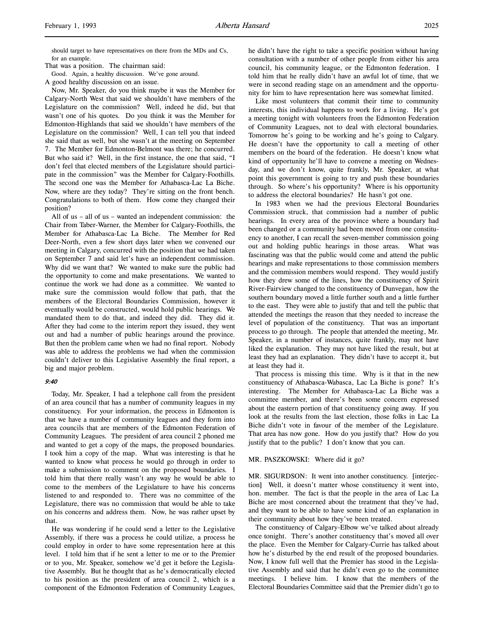should target to have representatives on there from the MDs and Cs, for an example.

That was a position. The chairman said:

Good. Again, a healthy discussion. We've gone around.

A good healthy discussion on an issue.

Now, Mr. Speaker, do you think maybe it was the Member for Calgary-North West that said we shouldn't have members of the Legislature on the commission? Well, indeed he did, but that wasn't one of his quotes. Do you think it was the Member for Edmonton-Highlands that said we shouldn't have members of the Legislature on the commission? Well, I can tell you that indeed she said that as well, but she wasn't at the meeting on September 7. The Member for Edmonton-Belmont was there; he concurred. But who said it? Well, in the first instance, the one that said, "I don't feel that elected members of the Legislature should participate in the commission" was the Member for Calgary-Foothills. The second one was the Member for Athabasca-Lac La Biche. Now, where are they today? They're sitting on the front bench. Congratulations to both of them. How come they changed their position?

All of us – all of us – wanted an independent commission: the Chair from Taber-Warner, the Member for Calgary-Foothills, the Member for Athabasca-Lac La Biche. The Member for Red Deer-North, even a few short days later when we convened our meeting in Calgary, concurred with the position that we had taken on September 7 and said let's have an independent commission. Why did we want that? We wanted to make sure the public had the opportunity to come and make presentations. We wanted to continue the work we had done as a committee. We wanted to make sure the commission would follow that path, that the members of the Electoral Boundaries Commission, however it eventually would be constructed, would hold public hearings. We mandated them to do that, and indeed they did. They did it. After they had come to the interim report they issued, they went out and had a number of public hearings around the province. But then the problem came when we had no final report. Nobody was able to address the problems we had when the commission couldn't deliver to this Legislative Assembly the final report, a big and major problem.

## 9:40

Today, Mr. Speaker, I had a telephone call from the president of an area council that has a number of community leagues in my constituency. For your information, the process in Edmonton is that we have a number of community leagues and they form into area councils that are members of the Edmonton Federation of Community Leagues. The president of area council 2 phoned me and wanted to get a copy of the maps, the proposed boundaries. I took him a copy of the map. What was interesting is that he wanted to know what process he would go through in order to make a submission to comment on the proposed boundaries. I told him that there really wasn't any way he would be able to come to the members of the Legislature to have his concerns listened to and responded to. There was no committee of the Legislature, there was no commission that would be able to take on his concerns and address them. Now, he was rather upset by that.

He was wondering if he could send a letter to the Legislative Assembly, if there was a process he could utilize, a process he could employ in order to have some representation here at this level. I told him that if he sent a letter to me or to the Premier or to you, Mr. Speaker, somehow we'd get it before the Legislative Assembly. But he thought that as he's democratically elected to his position as the president of area council 2, which is a component of the Edmonton Federation of Community Leagues,

he didn't have the right to take a specific position without having consultation with a number of other people from either his area council, his community league, or the Edmonton federation. I told him that he really didn't have an awful lot of time, that we were in second reading stage on an amendment and the opportunity for him to have representation here was somewhat limited.

Like most volunteers that commit their time to community interests, this individual happens to work for a living. He's got a meeting tonight with volunteers from the Edmonton Federation of Community Leagues, not to deal with electoral boundaries. Tomorrow he's going to be working and he's going to Calgary. He doesn't have the opportunity to call a meeting of other members on the board of the federation. He doesn't know what kind of opportunity he'll have to convene a meeting on Wednesday, and we don't know, quite frankly, Mr. Speaker, at what point this government is going to try and push these boundaries through. So where's his opportunity? Where is his opportunity to address the electoral boundaries? He hasn't got one.

In 1983 when we had the previous Electoral Boundaries Commission struck, that commission had a number of public hearings. In every area of the province where a boundary had been changed or a community had been moved from one constituency to another, I can recall the seven-member commission going out and holding public hearings in those areas. What was fascinating was that the public would come and attend the public hearings and make representations to those commission members and the commission members would respond. They would justify how they drew some of the lines, how the constituency of Spirit River-Fairview changed to the constituency of Dunvegan, how the southern boundary moved a little further south and a little further to the east. They were able to justify that and tell the public that attended the meetings the reason that they needed to increase the level of population of the constituency. That was an important process to go through. The people that attended the meeting, Mr. Speaker, in a number of instances, quite frankly, may not have liked the explanation. They may not have liked the result, but at least they had an explanation. They didn't have to accept it, but at least they had it.

That process is missing this time. Why is it that in the new constituency of Athabasca-Wabasca, Lac La Biche is gone? It's interesting. The Member for Athabasca-Lac La Biche was a committee member, and there's been some concern expressed about the eastern portion of that constituency going away. If you look at the results from the last election, those folks in Lac La Biche didn't vote in favour of the member of the Legislature. That area has now gone. How do you justify that? How do you justify that to the public? I don't know that you can.

#### MR. PASZKOWSKI: Where did it go?

MR. SIGURDSON: It went into another constituency. [interjection] Well, it doesn't matter whose constituency it went into, hon. member. The fact is that the people in the area of Lac La Biche are most concerned about the treatment that they've had, and they want to be able to have some kind of an explanation in their community about how they've been treated.

The constituency of Calgary-Elbow we've talked about already once tonight. There's another constituency that's moved all over the place. Even the Member for Calgary-Currie has talked about how he's disturbed by the end result of the proposed boundaries. Now, I know full well that the Premier has stood in the Legislative Assembly and said that he didn't even go to the committee meetings. I believe him. I know that the members of the Electoral Boundaries Committee said that the Premier didn't go to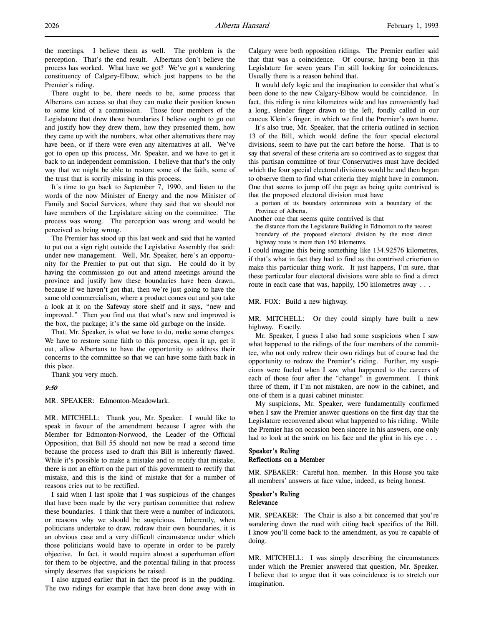There ought to be, there needs to be, some process that Albertans can access so that they can make their position known to some kind of a commission. Those four members of the Legislature that drew those boundaries I believe ought to go out and justify how they drew them, how they presented them, how they came up with the numbers, what other alternatives there may have been, or if there were even any alternatives at all. We've got to open up this process, Mr. Speaker, and we have to get it back to an independent commission. I believe that that's the only way that we might be able to restore some of the faith, some of the trust that is sorrily missing in this process.

It's time to go back to September 7, 1990, and listen to the words of the now Minister of Energy and the now Minister of Family and Social Services, where they said that we should not have members of the Legislature sitting on the committee. The process was wrong. The perception was wrong and would be perceived as being wrong.

The Premier has stood up this last week and said that he wanted to put out a sign right outside the Legislative Assembly that said: under new management. Well, Mr. Speaker, here's an opportunity for the Premier to put out that sign. He could do it by having the commission go out and attend meetings around the province and justify how these boundaries have been drawn, because if we haven't got that, then we're just going to have the same old commercialism, where a product comes out and you take a look at it on the Safeway store shelf and it says, "new and improved." Then you find out that what's new and improved is the box, the package; it's the same old garbage on the inside.

That, Mr. Speaker, is what we have to do, make some changes. We have to restore some faith to this process, open it up, get it out, allow Albertans to have the opportunity to address their concerns to the committee so that we can have some faith back in this place.

Thank you very much.

### 9:50

MR. SPEAKER: Edmonton-Meadowlark.

MR. MITCHELL: Thank you, Mr. Speaker. I would like to speak in favour of the amendment because I agree with the Member for Edmonton-Norwood, the Leader of the Official Opposition, that Bill 55 should not now be read a second time because the process used to draft this Bill is inherently flawed. While it's possible to make a mistake and to rectify that mistake, there is not an effort on the part of this government to rectify that mistake, and this is the kind of mistake that for a number of reasons cries out to be rectified.

I said when I last spoke that I was suspicious of the changes that have been made by the very partisan committee that redrew these boundaries. I think that there were a number of indicators, or reasons why we should be suspicious. Inherently, when politicians undertake to draw, redraw their own boundaries, it is an obvious case and a very difficult circumstance under which those politicians would have to operate in order to be purely objective. In fact, it would require almost a superhuman effort for them to be objective, and the potential failing in that process simply deserves that suspicions be raised.

I also argued earlier that in fact the proof is in the pudding. The two ridings for example that have been done away with in Calgary were both opposition ridings. The Premier earlier said that that was a coincidence. Of course, having been in this Legislature for seven years I'm still looking for coincidences. Usually there is a reason behind that.

It would defy logic and the imagination to consider that what's been done to the new Calgary-Elbow would be coincidence. In fact, this riding is nine kilometres wide and has conveniently had a long, slender finger drawn to the left, fondly called in our caucus Klein's finger, in which we find the Premier's own home.

It's also true, Mr. Speaker, that the criteria outlined in section 13 of the Bill, which would define the four special electoral divisions, seem to have put the cart before the horse. That is to say that several of these criteria are so contrived as to suggest that this partisan committee of four Conservatives must have decided which the four special electoral divisions would be and then began to observe them to find what criteria they might have in common. One that seems to jump off the page as being quite contrived is that the proposed electoral division must have

a portion of its boundary coterminous with a boundary of the Province of Alberta.

Another one that seems quite contrived is that

the distance from the Legislature Building in Edmonton to the nearest boundary of the proposed electoral division by the most direct highway route is more than 150 kilometres.

I could imagine this being something like 134.92576 kilometres, if that's what in fact they had to find as the contrived criterion to make this particular thing work. It just happens, I'm sure, that these particular four electoral divisions were able to find a direct route in each case that was, happily, 150 kilometres away . . .

MR. FOX: Build a new highway.

MR. MITCHELL: Or they could simply have built a new highway. Exactly.

Mr. Speaker, I guess I also had some suspicions when I saw what happened to the ridings of the four members of the committee, who not only redrew their own ridings but of course had the opportunity to redraw the Premier's riding. Further, my suspicions were fueled when I saw what happened to the careers of each of those four after the "change" in government. I think three of them, if I'm not mistaken, are now in the cabinet, and one of them is a quasi cabinet minister.

My suspicions, Mr. Speaker, were fundamentally confirmed when I saw the Premier answer questions on the first day that the Legislature reconvened about what happened to his riding. While the Premier has on occasion been sincere in his answers, one only had to look at the smirk on his face and the glint in his eye . . .

## Speaker's Ruling Reflections on a Member

MR. SPEAKER: Careful hon. member. In this House you take all members' answers at face value, indeed, as being honest.

## Speaker's Ruling Relevance

MR. SPEAKER: The Chair is also a bit concerned that you're wandering down the road with citing back specifics of the Bill. I know you'll come back to the amendment, as you're capable of doing.

MR. MITCHELL: I was simply describing the circumstances under which the Premier answered that question, Mr. Speaker. I believe that to argue that it was coincidence is to stretch our imagination.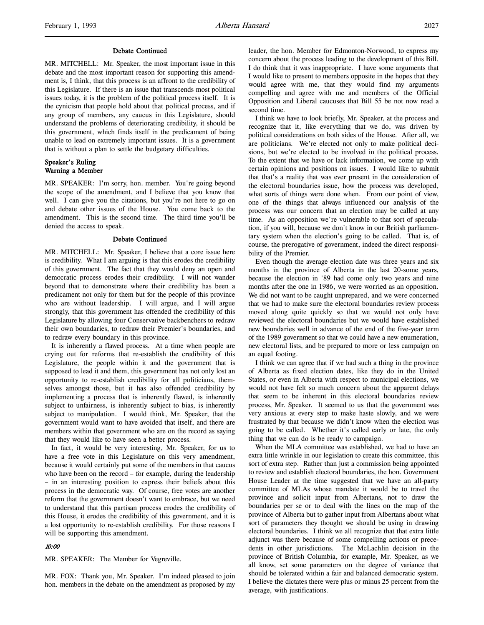### Debate Continued

MR. MITCHELL: Mr. Speaker, the most important issue in this debate and the most important reason for supporting this amendment is, I think, that this process is an affront to the credibility of this Legislature. If there is an issue that transcends most political issues today, it is the problem of the political process itself. It is the cynicism that people hold about that political process, and if any group of members, any caucus in this Legislature, should understand the problems of deteriorating credibility, it should be this government, which finds itself in the predicament of being unable to lead on extremely important issues. It is a government that is without a plan to settle the budgetary difficulties.

## Speaker's Ruling Warning a Member

MR. SPEAKER: I'm sorry, hon. member. You're going beyond the scope of the amendment, and I believe that you know that well. I can give you the citations, but you're not here to go on and debate other issues of the House. You come back to the amendment. This is the second time. The third time you'll be denied the access to speak.

#### Debate Continued

MR. MITCHELL: Mr. Speaker, I believe that a core issue here is credibility. What I am arguing is that this erodes the credibility of this government. The fact that they would deny an open and democratic process erodes their credibility. I will not wander beyond that to demonstrate where their credibility has been a predicament not only for them but for the people of this province who are without leadership. I will argue, and I will argue strongly, that this government has offended the credibility of this Legislature by allowing four Conservative backbenchers to redraw their own boundaries, to redraw their Premier's boundaries, and to redraw every boundary in this province.

It is inherently a flawed process. At a time when people are crying out for reforms that re-establish the credibility of this Legislature, the people within it and the government that is supposed to lead it and them, this government has not only lost an opportunity to re-establish credibility for all politicians, themselves amongst those, but it has also offended credibility by implementing a process that is inherently flawed, is inherently subject to unfairness, is inherently subject to bias, is inherently subject to manipulation. I would think, Mr. Speaker, that the government would want to have avoided that itself, and there are members within that government who are on the record as saying that they would like to have seen a better process.

In fact, it would be very interesting, Mr. Speaker, for us to have a free vote in this Legislature on this very amendment, because it would certainly put some of the members in that caucus who have been on the record – for example, during the leadership – in an interesting position to express their beliefs about this process in the democratic way. Of course, free votes are another reform that the government doesn't want to embrace, but we need to understand that this partisan process erodes the credibility of this House, it erodes the credibility of this government, and it is a lost opportunity to re-establish credibility. For those reasons I will be supporting this amendment.

## 10:00

MR. SPEAKER: The Member for Vegreville.

MR. FOX: Thank you, Mr. Speaker. I'm indeed pleased to join hon. members in the debate on the amendment as proposed by my leader, the hon. Member for Edmonton-Norwood, to express my concern about the process leading to the development of this Bill. I do think that it was inappropriate. I have some arguments that I would like to present to members opposite in the hopes that they would agree with me, that they would find my arguments compelling and agree with me and members of the Official Opposition and Liberal caucuses that Bill 55 be not now read a second time.

I think we have to look briefly, Mr. Speaker, at the process and recognize that it, like everything that we do, was driven by political considerations on both sides of the House. After all, we are politicians. We're elected not only to make political decisions, but we're elected to be involved in the political process. To the extent that we have or lack information, we come up with certain opinions and positions on issues. I would like to submit that that's a reality that was ever present in the consideration of the electoral boundaries issue, how the process was developed, what sorts of things were done when. From our point of view, one of the things that always influenced our analysis of the process was our concern that an election may be called at any time. As an opposition we're vulnerable to that sort of speculation, if you will, because we don't know in our British parliamentary system when the election's going to be called. That is, of course, the prerogative of government, indeed the direct responsibility of the Premier.

Even though the average election date was three years and six months in the province of Alberta in the last 20-some years, because the election in '89 had come only two years and nine months after the one in 1986, we were worried as an opposition. We did not want to be caught unprepared, and we were concerned that we had to make sure the electoral boundaries review process moved along quite quickly so that we would not only have reviewed the electoral boundaries but we would have established new boundaries well in advance of the end of the five-year term of the 1989 government so that we could have a new enumeration, new electoral lists, and be prepared to more or less campaign on an equal footing.

I think we can agree that if we had such a thing in the province of Alberta as fixed election dates, like they do in the United States, or even in Alberta with respect to municipal elections, we would not have felt so much concern about the apparent delays that seem to be inherent in this electoral boundaries review process, Mr. Speaker. It seemed to us that the government was very anxious at every step to make haste slowly, and we were frustrated by that because we didn't know when the election was going to be called. Whether it's called early or late, the only thing that we can do is be ready to campaign.

When the MLA committee was established, we had to have an extra little wrinkle in our legislation to create this committee, this sort of extra step. Rather than just a commission being appointed to review and establish electoral boundaries, the hon. Government House Leader at the time suggested that we have an all-party committee of MLAs whose mandate it would be to travel the province and solicit input from Albertans, not to draw the boundaries per se or to deal with the lines on the map of the province of Alberta but to gather input from Albertans about what sort of parameters they thought we should be using in drawing electoral boundaries. I think we all recognize that that extra little adjunct was there because of some compelling actions or precedents in other jurisdictions. The McLachlin decision in the province of British Columbia, for example, Mr. Speaker, as we all know, set some parameters on the degree of variance that should be tolerated within a fair and balanced democratic system. I believe the dictates there were plus or minus 25 percent from the average, with justifications.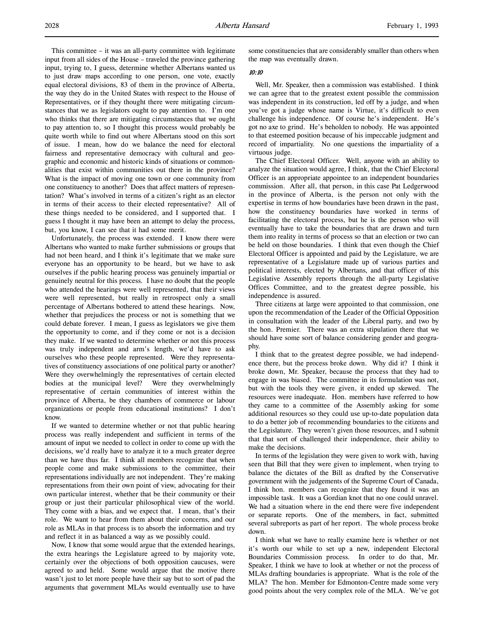This committee – it was an all-party committee with legitimate input from all sides of the House – traveled the province gathering input, trying to, I guess, determine whether Albertans wanted us to just draw maps according to one person, one vote, exactly equal electoral divisions, 83 of them in the province of Alberta, the way they do in the United States with respect to the House of Representatives, or if they thought there were mitigating circumstances that we as legislators ought to pay attention to. I'm one who thinks that there are mitigating circumstances that we ought to pay attention to, so I thought this process would probably be quite worth while to find out where Albertans stood on this sort of issue. I mean, how do we balance the need for electoral fairness and representative democracy with cultural and geographic and economic and historic kinds of situations or commonalities that exist within communities out there in the province? What is the impact of moving one town or one community from one constituency to another? Does that affect matters of representation? What's involved in terms of a citizen's right as an elector in terms of their access to their elected representative? All of these things needed to be considered, and I supported that. I guess I thought it may have been an attempt to delay the process, but, you know, I can see that it had some merit.

Unfortunately, the process was extended. I know there were Albertans who wanted to make further submissions or groups that had not been heard, and I think it's legitimate that we make sure everyone has an opportunity to be heard, but we have to ask ourselves if the public hearing process was genuinely impartial or genuinely neutral for this process. I have no doubt that the people who attended the hearings were well represented, that their views were well represented, but really in retrospect only a small percentage of Albertans bothered to attend these hearings. Now, whether that prejudices the process or not is something that we could debate forever. I mean, I guess as legislators we give them the opportunity to come, and if they come or not is a decision they make. If we wanted to determine whether or not this process was truly independent and arm's length, we'd have to ask ourselves who these people represented. Were they representatives of constituency associations of one political party or another? Were they overwhelmingly the representatives of certain elected bodies at the municipal level? Were they overwhelmingly representative of certain communities of interest within the province of Alberta, be they chambers of commerce or labour organizations or people from educational institutions? I don't know.

If we wanted to determine whether or not that public hearing process was really independent and sufficient in terms of the amount of input we needed to collect in order to come up with the decisions, we'd really have to analyze it to a much greater degree than we have thus far. I think all members recognize that when people come and make submissions to the committee, their representations individually are not independent. They're making representations from their own point of view, advocating for their own particular interest, whether that be their community or their group or just their particular philosophical view of the world. They come with a bias, and we expect that. I mean, that's their role. We want to hear from them about their concerns, and our role as MLAs in that process is to absorb the information and try and reflect it in as balanced a way as we possibly could.

Now, I know that some would argue that the extended hearings, the extra hearings the Legislature agreed to by majority vote, certainly over the objections of both opposition caucuses, were agreed to and held. Some would argue that the motive there wasn't just to let more people have their say but to sort of pad the arguments that government MLAs would eventually use to have some constituencies that are considerably smaller than others when the map was eventually drawn.

## 10:10

Well, Mr. Speaker, then a commission was established. I think we can agree that to the greatest extent possible the commission was independent in its construction, led off by a judge, and when you've got a judge whose name is Virtue, it's difficult to even challenge his independence. Of course he's independent. He's got no axe to grind. He's beholden to nobody. He was appointed to that esteemed position because of his impeccable judgment and record of impartiality. No one questions the impartiality of a virtuous judge.

The Chief Electoral Officer. Well, anyone with an ability to analyze the situation would agree, I think, that the Chief Electoral Officer is an appropriate appointee to an independent boundaries commission. After all, that person, in this case Pat Ledgerwood in the province of Alberta, is the person not only with the expertise in terms of how boundaries have been drawn in the past, how the constituency boundaries have worked in terms of facilitating the electoral process, but he is the person who will eventually have to take the boundaries that are drawn and turn them into reality in terms of process so that an election or two can be held on those boundaries. I think that even though the Chief Electoral Officer is appointed and paid by the Legislature, we are representative of a Legislature made up of various parties and political interests, elected by Albertans, and that officer of this Legislative Assembly reports through the all-party Legislative Offices Committee, and to the greatest degree possible, his independence is assured.

Three citizens at large were appointed to that commission, one upon the recommendation of the Leader of the Official Opposition in consultation with the leader of the Liberal party, and two by the hon. Premier. There was an extra stipulation there that we should have some sort of balance considering gender and geography.

I think that to the greatest degree possible, we had independence there, but the process broke down. Why did it? I think it broke down, Mr. Speaker, because the process that they had to engage in was biased. The committee in its formulation was not, but with the tools they were given, it ended up skewed. The resources were inadequate. Hon. members have referred to how they came to a committee of the Assembly asking for some additional resources so they could use up-to-date population data to do a better job of recommending boundaries to the citizens and the Legislature. They weren't given those resources, and I submit that that sort of challenged their independence, their ability to make the decisions.

In terms of the legislation they were given to work with, having seen that Bill that they were given to implement, when trying to balance the dictates of the Bill as drafted by the Conservative government with the judgements of the Supreme Court of Canada, I think hon. members can recognize that they found it was an impossible task. It was a Gordian knot that no one could unravel. We had a situation where in the end there were five independent or separate reports. One of the members, in fact, submitted several subreports as part of her report. The whole process broke down.

I think what we have to really examine here is whether or not it's worth our while to set up a new, independent Electoral Boundaries Commission process. In order to do that, Mr. Speaker, I think we have to look at whether or not the process of MLAs drafting boundaries is appropriate. What is the role of the MLA? The hon. Member for Edmonton-Centre made some very good points about the very complex role of the MLA. We've got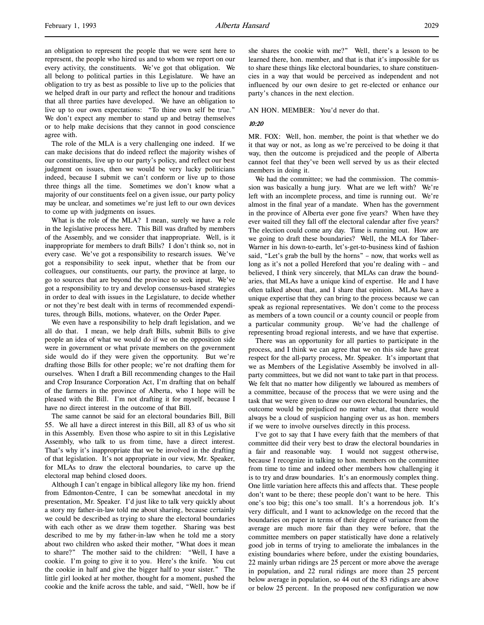an obligation to represent the people that we were sent here to represent, the people who hired us and to whom we report on our every activity, the constituents. We've got that obligation. We all belong to political parties in this Legislature. We have an obligation to try as best as possible to live up to the policies that we helped draft in our party and reflect the honour and traditions that all three parties have developed. We have an obligation to live up to our own expectations: "To thine own self be true." We don't expect any member to stand up and betray themselves or to help make decisions that they cannot in good conscience agree with.

The role of the MLA is a very challenging one indeed. If we can make decisions that do indeed reflect the majority wishes of our constituents, live up to our party's policy, and reflect our best judgment on issues, then we would be very lucky politicians indeed, because I submit we can't conform or live up to those three things all the time. Sometimes we don't know what a majority of our constituents feel on a given issue, our party policy may be unclear, and sometimes we're just left to our own devices to come up with judgments on issues.

What is the role of the MLA? I mean, surely we have a role in the legislative process here. This Bill was drafted by members of the Assembly, and we consider that inappropriate. Well, is it inappropriate for members to draft Bills? I don't think so, not in every case. We've got a responsibility to research issues. We've got a responsibility to seek input, whether that be from our colleagues, our constituents, our party, the province at large, to go to sources that are beyond the province to seek input. We've got a responsibility to try and develop consensus-based strategies in order to deal with issues in the Legislature, to decide whether or not they're best dealt with in terms of recommended expenditures, through Bills, motions, whatever, on the Order Paper.

We even have a responsibility to help draft legislation, and we all do that. I mean, we help draft Bills, submit Bills to give people an idea of what we would do if we on the opposition side were in government or what private members on the government side would do if they were given the opportunity. But we're drafting those Bills for other people; we're not drafting them for ourselves. When I draft a Bill recommending changes to the Hail and Crop Insurance Corporation Act, I'm drafting that on behalf of the farmers in the province of Alberta, who I hope will be pleased with the Bill. I'm not drafting it for myself, because I have no direct interest in the outcome of that Bill.

The same cannot be said for an electoral boundaries Bill, Bill 55. We all have a direct interest in this Bill, all 83 of us who sit in this Assembly. Even those who aspire to sit in this Legislative Assembly, who talk to us from time, have a direct interest. That's why it's inappropriate that we be involved in the drafting of that legislation. It's not appropriate in our view, Mr. Speaker, for MLAs to draw the electoral boundaries, to carve up the electoral map behind closed doors.

Although I can't engage in biblical allegory like my hon. friend from Edmonton-Centre, I can be somewhat anecdotal in my presentation, Mr. Speaker. I'd just like to talk very quickly about a story my father-in-law told me about sharing, because certainly we could be described as trying to share the electoral boundaries with each other as we draw them together. Sharing was best described to me by my father-in-law when he told me a story about two children who asked their mother, "What does it mean to share?" The mother said to the children: "Well, I have a cookie. I'm going to give it to you. Here's the knife. You cut the cookie in half and give the bigger half to your sister." The little girl looked at her mother, thought for a moment, pushed the cookie and the knife across the table, and said, "Well, how be if she shares the cookie with me?" Well, there's a lesson to be learned there, hon. member, and that is that it's impossible for us to share these things like electoral boundaries, to share constituencies in a way that would be perceived as independent and not influenced by our own desire to get re-elected or enhance our party's chances in the next election.

#### AN HON. MEMBER: You'd never do that.

## 10:20

MR. FOX: Well, hon. member, the point is that whether we do it that way or not, as long as we're perceived to be doing it that way, then the outcome is prejudiced and the people of Alberta cannot feel that they've been well served by us as their elected members in doing it.

We had the committee; we had the commission. The commission was basically a hung jury. What are we left with? We're left with an incomplete process, and time is running out. We're almost in the final year of a mandate. When has the government in the province of Alberta ever gone five years? When have they ever waited till they fall off the electoral calendar after five years? The election could come any day. Time is running out. How are we going to draft these boundaries? Well, the MLA for Taber-Warner in his down-to-earth, let's-get-to-business kind of fashion said, "Let's grab the bull by the horns" – now, that works well as long as it's not a polled Hereford that you're dealing with – and believed, I think very sincerely, that MLAs can draw the boundaries, that MLAs have a unique kind of expertise. He and I have often talked about that, and I share that opinion. MLAs have a unique expertise that they can bring to the process because we can speak as regional representatives. We don't come to the process as members of a town council or a county council or people from a particular community group. We've had the challenge of representing broad regional interests, and we have that expertise.

There was an opportunity for all parties to participate in the process, and I think we can agree that we on this side have great respect for the all-party process, Mr. Speaker. It's important that we as Members of the Legislative Assembly be involved in allparty committees, but we did not want to take part in that process. We felt that no matter how diligently we laboured as members of a committee, because of the process that we were using and the task that we were given to draw our own electoral boundaries, the outcome would be prejudiced no matter what, that there would always be a cloud of suspicion hanging over us as hon. members if we were to involve ourselves directly in this process.

I've got to say that I have every faith that the members of that committee did their very best to draw the electoral boundaries in a fair and reasonable way. I would not suggest otherwise, because I recognize in talking to hon. members on the committee from time to time and indeed other members how challenging it is to try and draw boundaries. It's an enormously complex thing. One little variation here affects this and affects that. These people don't want to be there; these people don't want to be here. This one's too big; this one's too small. It's a horrendous job. It's very difficult, and I want to acknowledge on the record that the boundaries on paper in terms of their degree of variance from the average are much more fair than they were before, that the committee members on paper statistically have done a relatively good job in terms of trying to ameliorate the imbalances in the existing boundaries where before, under the existing boundaries, 22 mainly urban ridings are 25 percent or more above the average in population, and 22 rural ridings are more than 25 percent below average in population, so 44 out of the 83 ridings are above or below 25 percent. In the proposed new configuration we now